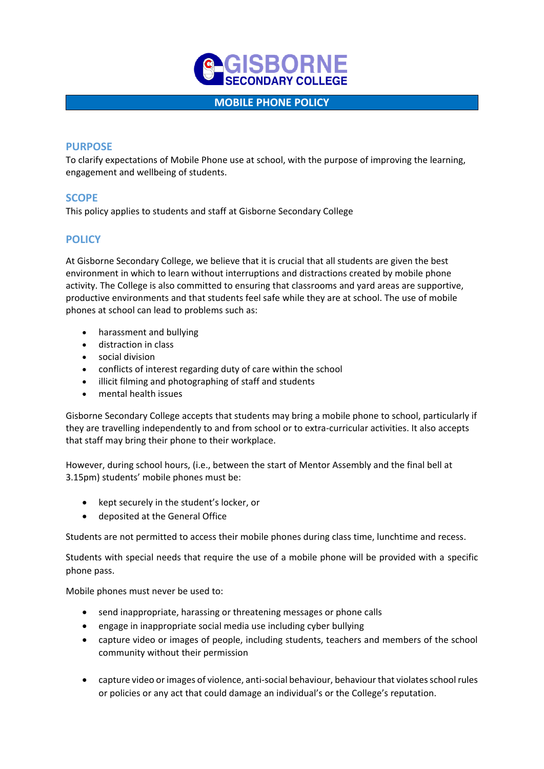

## **MOBILE PHONE POLICY**

### **PURPOSE**

To clarify expectations of Mobile Phone use at school, with the purpose of improving the learning, engagement and wellbeing of students.

## **SCOPE**

This policy applies to students and staff at Gisborne Secondary College

# **POLICY**

At Gisborne Secondary College, we believe that it is crucial that all students are given the best environment in which to learn without interruptions and distractions created by mobile phone activity. The College is also committed to ensuring that classrooms and yard areas are supportive, productive environments and that students feel safe while they are at school. The use of mobile phones at school can lead to problems such as:

- harassment and bullying
- distraction in class
- social division
- conflicts of interest regarding duty of care within the school
- illicit filming and photographing of staff and students
- mental health issues

Gisborne Secondary College accepts that students may bring a mobile phone to school, particularly if they are travelling independently to and from school or to extra-curricular activities. It also accepts that staff may bring their phone to their workplace.

However, during school hours, (i.e., between the start of Mentor Assembly and the final bell at 3.15pm) students' mobile phones must be:

- kept securely in the student's locker, or
- deposited at the General Office

Students are not permitted to access their mobile phones during class time, lunchtime and recess.

Students with special needs that require the use of a mobile phone will be provided with a specific phone pass.

Mobile phones must never be used to:

- send inappropriate, harassing or threatening messages or phone calls
- engage in inappropriate social media use including cyber bullying
- capture video or images of people, including students, teachers and members of the school community without their permission
- capture video or images of violence, anti-social behaviour, behaviour that violates school rules or policies or any act that could damage an individual's or the College's reputation.